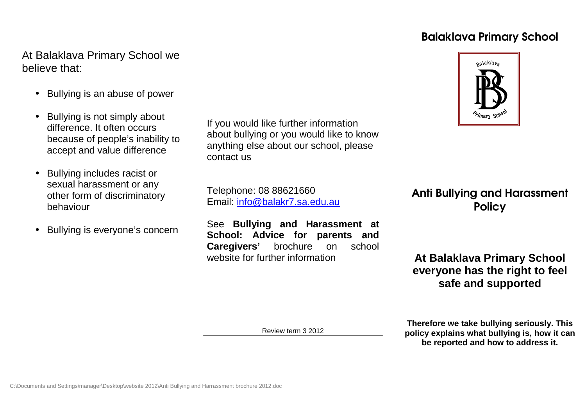# Balaklava Primary School

# At Balaklava Primary School we believe that:

- Bullying is an abuse of power
- Bullying is not simply about difference. It often occurs because of people's inability to accept and value difference
- Bullying includes racist or sexual harassment or any other form of discriminatory behaviour
- Bullying is everyone's concern

If you would like further information about bullying or you would like to know anything else about our school, please contact us

Telephone: 08 88621660 Email: info@balakr7.sa.edu.au

See **Bullying and Harassment at School: Advice for parents and** school **Caregivers'** brochure on website for further information

Anti Bullying and Harassment **Policy** 

**At Balaklava Primary School everyone has the right to feel safe and supported**

Review term 3 2012

**Therefore we take bullying seriously. This policy explains what bullying is, how it can be reported and how to address it.**